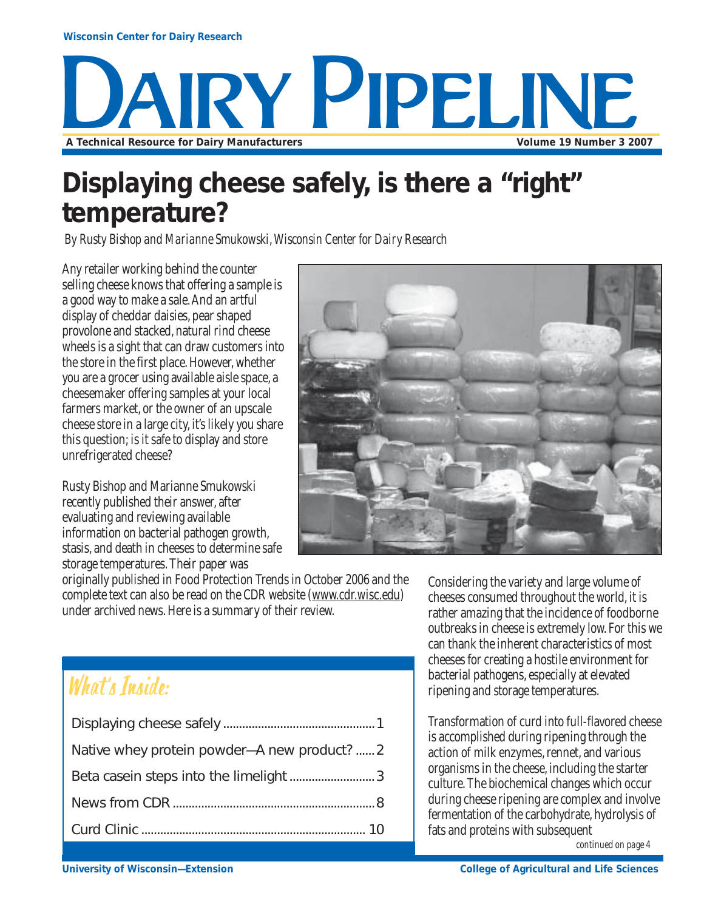

## **Displaying cheese safely, is there a "right" temperature?**

*By Rusty Bishop and Marianne Smukowski, Wisconsin Center for Dairy Research*

Any retailer working behind the counter selling cheese knows that offering a sample is a good way to make a sale. And an artful display of cheddar daisies, pear shaped provolone and stacked, natural rind cheese wheels is a sight that can draw customers into the store in the first place. However, whether you are a grocer using available aisle space, a cheesemaker offering samples at your local farmers market, or the owner of an upscale cheese store in a large city, it's likely you share this question; is it safe to display and store unrefrigerated cheese?

Rusty Bishop and Marianne Smukowski recently published their answer, after evaluating and reviewing available information on bacterial pathogen growth, stasis, and death in cheeses to determine safe storage temperatures. Their paper was



originally published in Food Protection Trends in October 2006 and the complete text can also be read on the CDR website (www.cdr.wisc.edu) under archived news. Here is a summary of their review.

## What's Inside:

| Native whey protein powder-A new product?  2 |
|----------------------------------------------|
|                                              |
|                                              |
|                                              |

Considering the variety and large volume of cheeses consumed throughout the world, it is rather amazing that the incidence of foodborne outbreaks in cheese is extremely low. For this we can thank the inherent characteristics of most cheeses for creating a hostile environment for bacterial pathogens, especially at elevated ripening and storage temperatures.

Transformation of curd into full-flavored cheese is accomplished during ripening through the action of milk enzymes, rennet, and various organisms in the cheese, including the starter culture. The biochemical changes which occur during cheese ripening are complex and involve fermentation of the carbohydrate, hydrolysis of fats and proteins with subsequent

*continued on page 4*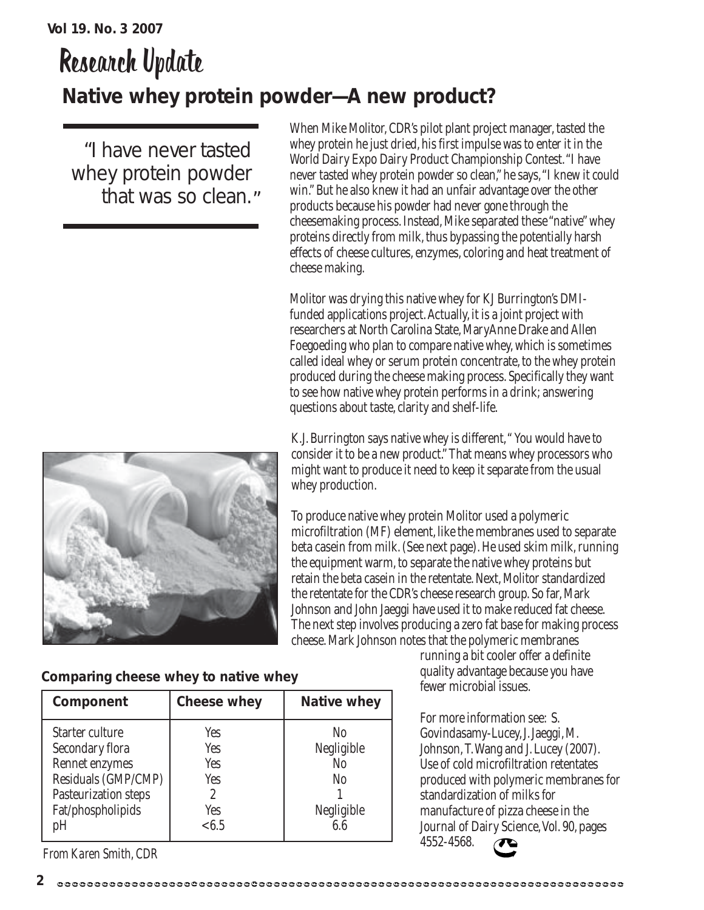## Research Update **Native whey protein powder—A new product?**

"I have never tasted whey protein powder that was so clean."



Molitor was drying this native whey for KJ Burrington's DMIfunded applications project. Actually, it is a joint project with researchers at North Carolina State, MaryAnne Drake and Allen Foegoeding who plan to compare native whey, which is sometimes called ideal whey or serum protein concentrate, to the whey protein produced during the cheese making process. Specifically they want to see how native whey protein performs in a drink; answering questions about taste, clarity and shelf-life.

K.J. Burrington says native whey is different, " You would have to consider it to be a new product." That means whey processors who might want to produce it need to keep it separate from the usual whey production.

To produce native whey protein Molitor used a polymeric microfiltration (MF) element, like the membranes used to separate beta casein from milk. (See next page). He used skim milk, running the equipment warm, to separate the native whey proteins but retain the beta casein in the retentate. Next, Molitor standardized the retentate for the CDR's cheese research group. So far, Mark Johnson and John Jaeggi have used it to make reduced fat cheese. The next step involves producing a zero fat base for making process cheese. Mark Johnson notes that the polymeric membranes

running a bit cooler offer a definite

**Comparing cheese whey to native whey**

| Component                                                                                                                      | <b>Cheese whey</b>                            | <b>Native whey</b>                               |
|--------------------------------------------------------------------------------------------------------------------------------|-----------------------------------------------|--------------------------------------------------|
| Starter culture<br>Secondary flora<br>Rennet enzymes<br>Residuals (GMP/CMP)<br>Pasteurization steps<br>Fat/phospholipids<br>pH | Yes<br>Yes<br>Yes<br>Yes<br>2<br>Yes<br>< 6.5 | No<br>Negligible<br>No<br>No<br>Negligible<br>66 |

*From Karen Smith, CDR*

quality advantage because you have fewer microbial issues.

For more information see: S. Govindasamy-Lucey, J. Jaeggi, M. Johnson, T. Wang and J. Lucey (2007). Use of cold microfiltration retentates produced with polymeric membranes for standardization of milks for manufacture of pizza cheese in the Journal of Dairy Science, Vol. 90, pages 4552-4568.

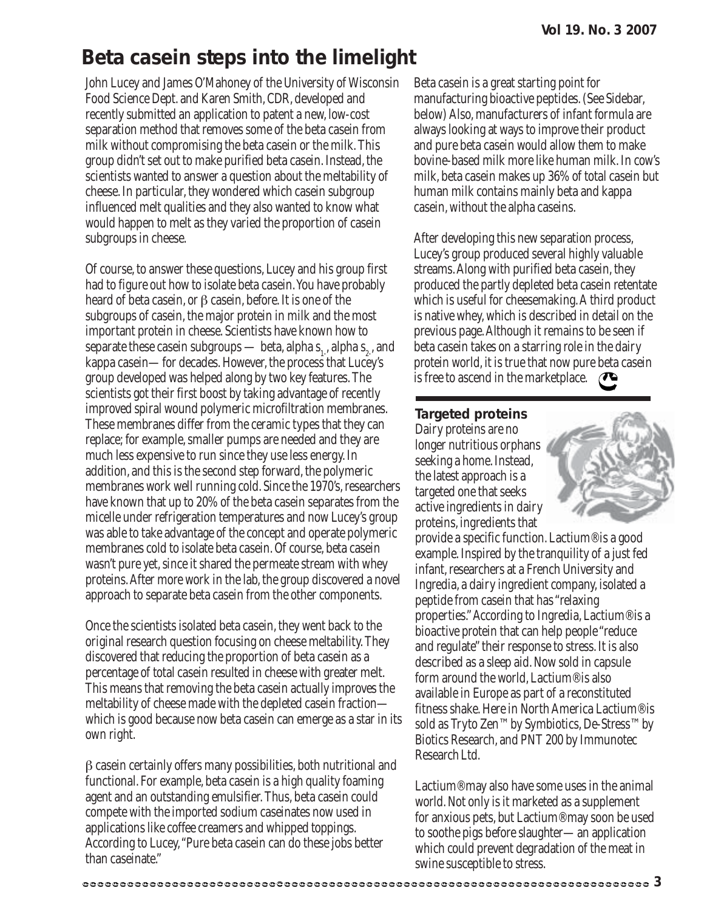## **Beta casein steps into the limelight**

John Lucey and James O'Mahoney of the University of Wisconsin Food Science Dept. and Karen Smith, CDR, developed and recently submitted an application to patent a new, low-cost separation method that removes some of the beta casein from milk without compromising the beta casein or the milk. This group didn't set out to make purified beta casein. Instead, the scientists wanted to answer a question about the meltability of cheese. In particular, they wondered which casein subgroup influenced melt qualities and they also wanted to know what would happen to melt as they varied the proportion of casein subgroups in cheese.

Of course, to answer these questions, Lucey and his group first had to figure out how to isolate beta casein. You have probably heard of beta casein, or β casein, before. It is one of the subgroups of casein, the major protein in milk and the most important protein in cheese. Scientists have known how to separate these casein subgroups — beta, alpha s<sub>1</sub>, alpha s<sub>2</sub>, and kappa casein—for decades. However, the process that Lucey's group developed was helped along by two key features. The scientists got their first boost by taking advantage of recently improved spiral wound polymeric microfiltration membranes. These membranes differ from the ceramic types that they can replace; for example, smaller pumps are needed and they are much less expensive to run since they use less energy. In addition, and this is the second step forward, the polymeric membranes work well running cold. Since the 1970's, researchers have known that up to 20% of the beta casein separates from the micelle under refrigeration temperatures and now Lucey's group was able to take advantage of the concept and operate polymeric membranes cold to isolate beta casein. Of course, beta casein wasn't pure yet, since it shared the permeate stream with whey proteins. After more work in the lab, the group discovered a novel approach to separate beta casein from the other components.

Once the scientists isolated beta casein, they went back to the original research question focusing on cheese meltability. They discovered that reducing the proportion of beta casein as a percentage of total casein resulted in cheese with greater melt. This means that removing the beta casein actually improves the meltability of cheese made with the depleted casein fraction which is good because now beta casein can emerge as a star in its own right.

β casein certainly offers many possibilities, both nutritional and functional. For example, beta casein is a high quality foaming agent and an outstanding emulsifier. Thus, beta casein could compete with the imported sodium caseinates now used in applications like coffee creamers and whipped toppings. According to Lucey, "Pure beta casein can do these jobs better than caseinate."

Beta casein is a great starting point for manufacturing bioactive peptides. (See Sidebar, below) Also, manufacturers of infant formula are always looking at ways to improve their product and pure beta casein would allow them to make bovine-based milk more like human milk. In cow's milk, beta casein makes up 36% of total casein but human milk contains mainly beta and kappa casein, without the alpha caseins.

After developing this new separation process, Lucey's group produced several highly valuable streams. Along with purified beta casein, they produced the partly depleted beta casein retentate which is useful for cheesemaking. A third product is native whey, which is described in detail on the previous page. Although it remains to be seen if beta casein takes on a starring role in the dairy protein world, it is true that now pure beta casein is free to ascend in the marketplace.

#### **Targeted proteins**

Dairy proteins are no longer nutritious orphans seeking a home. Instead, the latest approach is a targeted one that seeks active ingredients in dairy proteins, ingredients that



provide a specific function. Lactium® is a good example. Inspired by the tranquility of a just fed infant, researchers at a French University and Ingredia, a dairy ingredient company, isolated a peptide from casein that has "relaxing properties." According to Ingredia, Lactium® is a bioactive protein that can help people "reduce and regulate" their response to stress. It is also described as a sleep aid. Now sold in capsule form around the world, Lactium® is also available in Europe as part of a reconstituted fitness shake. Here in North America Lactium® is sold as Tryto Zen™ by Symbiotics, De-Stress™ by Biotics Research, and PNT 200 by Immunotec Research Ltd.

Lactium® may also have some uses in the animal world. Not only is it marketed as a supplement for anxious pets, but Lactium® may soon be used to soothe pigs before slaughter—an application which could prevent degradation of the meat in swine susceptible to stress.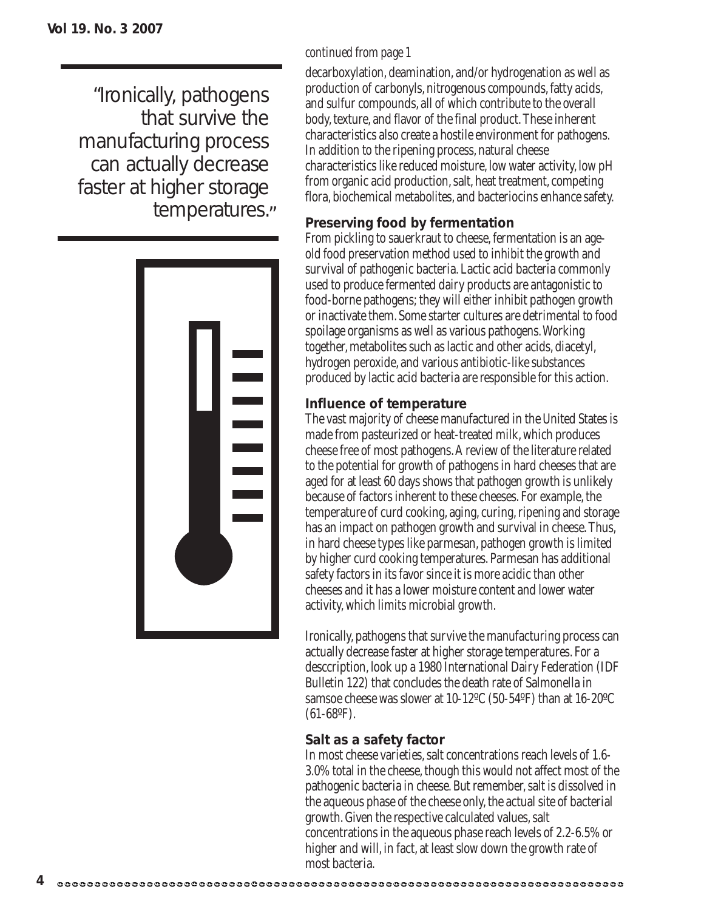"Ironically, pathogens that survive the manufacturing process can actually decrease faster at higher storage temperatures."



#### *continued from page 1*

decarboxylation, deamination, and/or hydrogenation as well as production of carbonyls, nitrogenous compounds, fatty acids, and sulfur compounds, all of which contribute to the overall body, texture, and flavor of the final product. These inherent characteristics also create a hostile environment for pathogens. In addition to the ripening process, natural cheese characteristics like reduced moisture, low water activity, low pH from organic acid production, salt, heat treatment, competing flora, biochemical metabolites, and bacteriocins enhance safety.

#### **Preserving food by fermentation**

From pickling to sauerkraut to cheese, fermentation is an ageold food preservation method used to inhibit the growth and survival of pathogenic bacteria. Lactic acid bacteria commonly used to produce fermented dairy products are antagonistic to food-borne pathogens; they will either inhibit pathogen growth or inactivate them. Some starter cultures are detrimental to food spoilage organisms as well as various pathogens. Working together, metabolites such as lactic and other acids, diacetyl, hydrogen peroxide, and various antibiotic-like substances produced by lactic acid bacteria are responsible for this action.

#### **Influence of temperature**

The vast majority of cheese manufactured in the United States is made from pasteurized or heat-treated milk, which produces cheese free of most pathogens. A review of the literature related to the potential for growth of pathogens in hard cheeses that are aged for at least 60 days shows that pathogen growth is unlikely because of factors inherent to these cheeses. For example, the temperature of curd cooking, aging, curing, ripening and storage has an impact on pathogen growth and survival in cheese. Thus, in hard cheese types like parmesan, pathogen growth is limited by higher curd cooking temperatures. Parmesan has additional safety factors in its favor since it is more acidic than other cheeses and it has a lower moisture content and lower water activity, which limits microbial growth.

Ironically, pathogens that survive the manufacturing process can actually decrease faster at higher storage temperatures. For a desccription, look up a 1980 International Dairy Federation (IDF Bulletin 122) that concludes the death rate of Salmonella in samsoe cheese was slower at 10-12ºC (50-54ºF) than at 16-20ºC  $(61-68^{\circ}F).$ 

#### **Salt as a safety factor**

In most cheese varieties, salt concentrations reach levels of 1.6- 3.0% total in the cheese, though this would not affect most of the pathogenic bacteria in cheese. But remember, salt is dissolved in the aqueous phase of the cheese only, the actual site of bacterial growth. Given the respective calculated values, salt concentrations in the aqueous phase reach levels of 2.2-6.5% or higher and will, in fact, at least slow down the growth rate of most bacteria.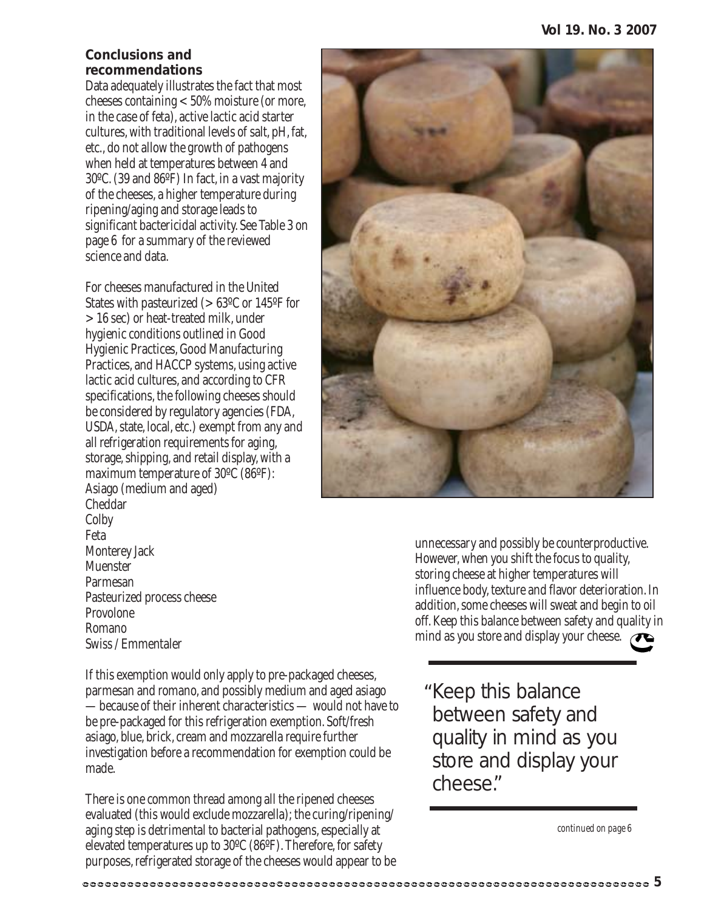#### **Conclusions and recommendations**

Data adequately illustrates the fact that most cheeses containing < 50% moisture (or more, in the case of feta), active lactic acid starter cultures, with traditional levels of salt, pH, fat, etc., do not allow the growth of pathogens when held at temperatures between 4 and 30ºC. (39 and 86ºF) In fact, in a vast majority of the cheeses, a higher temperature during ripening/aging and storage leads to significant bactericidal activity. See Table 3 on page 6 for a summary of the reviewed science and data.

For cheeses manufactured in the United States with pasteurized (> 63ºC or 145ºF for > 16 sec) or heat-treated milk, under hygienic conditions outlined in Good Hygienic Practices, Good Manufacturing Practices, and HACCP systems, using active lactic acid cultures, and according to CFR specifications, the following cheeses should be considered by regulatory agencies (FDA, USDA, state, local, etc.) exempt from any and all refrigeration requirements for aging, storage, shipping, and retail display, with a maximum temperature of 30ºC (86ºF): Asiago (medium and aged) Cheddar Colby Feta Monterey Jack Muenster Parmesan Pasteurized process cheese Provolone Romano Swiss / Emmentaler

unnecessary and possibly be counterproductive. However, when you shift the focus to quality, storing cheese at higher temperatures will influence body, texture and flavor deterioration. In addition, some cheeses will sweat and begin to oil off. Keep this balance between safety and quality in mind as you store and display your cheese.

If this exemption would only apply to pre-packaged cheeses, parmesan and romano, and possibly medium and aged asiago —because of their inherent characteristics — would not have to be pre-packaged for this refrigeration exemption. Soft/fresh asiago, blue, brick, cream and mozzarella require further investigation before a recommendation for exemption could be made.

There is one common thread among all the ripened cheeses evaluated (this would exclude mozzarella); the curing/ripening/ aging step is detrimental to bacterial pathogens, especially at elevated temperatures up to 30ºC (86ºF). Therefore, for safety purposes, refrigerated storage of the cheeses would appear to be Keep this balance " between safety and quality in mind as you store and display your cheese."

*continued on page 6*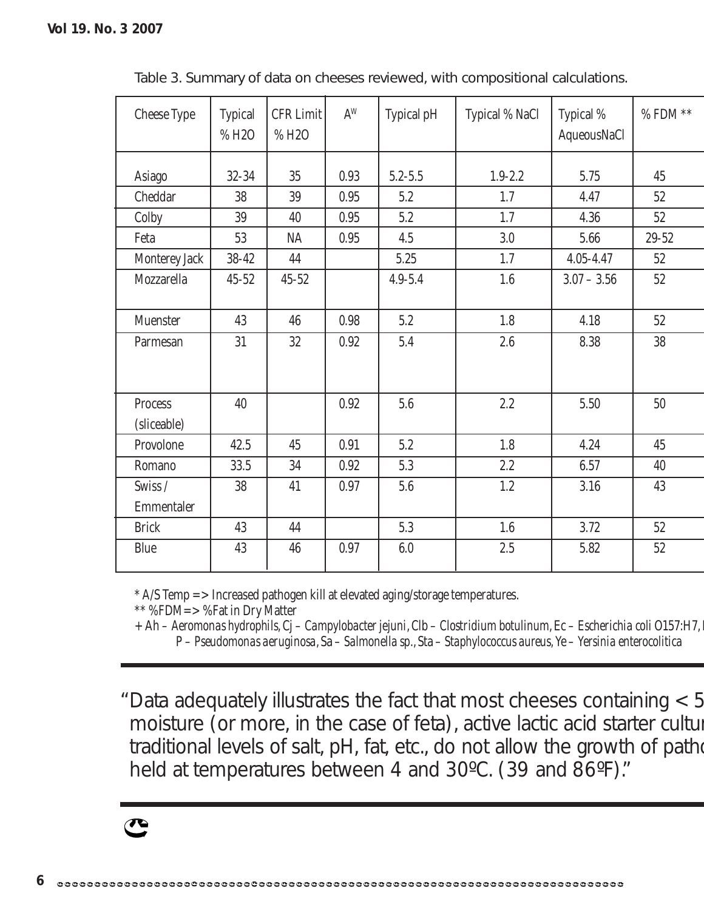| <b>Cheese Type</b>     | <b>Typical</b><br>%H2O | <b>CFR Limit</b><br>%H2O | $\mathrm{A}^{\mathrm{W}}$ | Typical pH  | Typical % NaCl | Typical %<br>AqueousNaCl | $\%$ FDM $^{**}$ |
|------------------------|------------------------|--------------------------|---------------------------|-------------|----------------|--------------------------|------------------|
| <b>Asiago</b>          | $32 - 34$              | 35                       | 0.93                      | $5.2 - 5.5$ | $1.9 - 2.2$    | 5.75                     | 45               |
| Cheddar                | 38                     | 39                       | 0.95                      | 5.2         | 1.7            | 4.47                     | $52\,$           |
| Colby                  | 39                     | 40                       | 0.95                      | 5.2         | 1.7            | 4.36                     | 52               |
| Feta                   | 53                     | <b>NA</b>                | 0.95                      | 4.5         | 3.0            | 5.66                     | $29 - 52$        |
| Monterey Jack          | $38 - 42$              | 44                       |                           | 5.25        | 1.7            | $4.05 - 4.47$            | $52\,$           |
| Mozzarella             | $45 - 52$              | $45 - 52$                |                           | $4.9 - 5.4$ | 1.6            | $3.07 - 3.56$            | 52               |
| Muenster               | 43                     | 46                       | 0.98                      | 5.2         | 1.8            | 4.18                     | 52               |
| Parmesan               | 31                     | 32                       | 0.92                      | 5.4         | $2.6\,$        | 8.38                     | 38               |
| Process<br>(sliceable) | 40                     |                          | 0.92                      | $5.6\,$     | 2.2            | 5.50                     | 50               |
| Provolone              | 42.5                   | 45                       | 0.91                      | 5.2         | 1.8            | 4.24                     | 45               |
| Romano                 | 33.5                   | 34                       | 0.92                      | 5.3         | 2.2            | 6.57                     | 40               |
| Swiss/                 | 38                     | 41                       | 0.97                      | 5.6         | 1.2            | 3.16                     | 43               |
| Emmentaler             |                        |                          |                           |             |                |                          |                  |
| <b>Brick</b>           | 43                     | 44                       |                           | 5.3         | $1.6\,$        | 3.72                     | 52               |
| Blue                   | 43                     | 46                       | 0.97                      | $6.0\,$     | $2.5\,$        | 5.82                     | $52\,$           |

Table 3. Summary of data on cheeses reviewed, with compositional calculations.

\* A/S Temp => Increased pathogen kill at elevated aging/storage temperatures.

\*\* %FDM=> %Fat in Dry Matter

+ Ah – *Aeromonas hydrophils*, Cj – *Campylobacter jejuni*, Clb – *Clostridium botulinum*, Ec – *Escherichia coli* O157:H7, L P – *Pseudomonas aeruginosa*, Sa – *Salmonella sp*., Sta – *Staphylococcus aureus,*Ye – *Yersinia enterocolitica*

Data adequately illustrates the fact that most cheeses containing < 5 "moisture (or more, in the case of feta), active lactic acid starter cultur traditional levels of salt, pH, fat, etc., do not allow the growth of patho held at temperatures between 4 and 30°C. (39 and 86°F)."

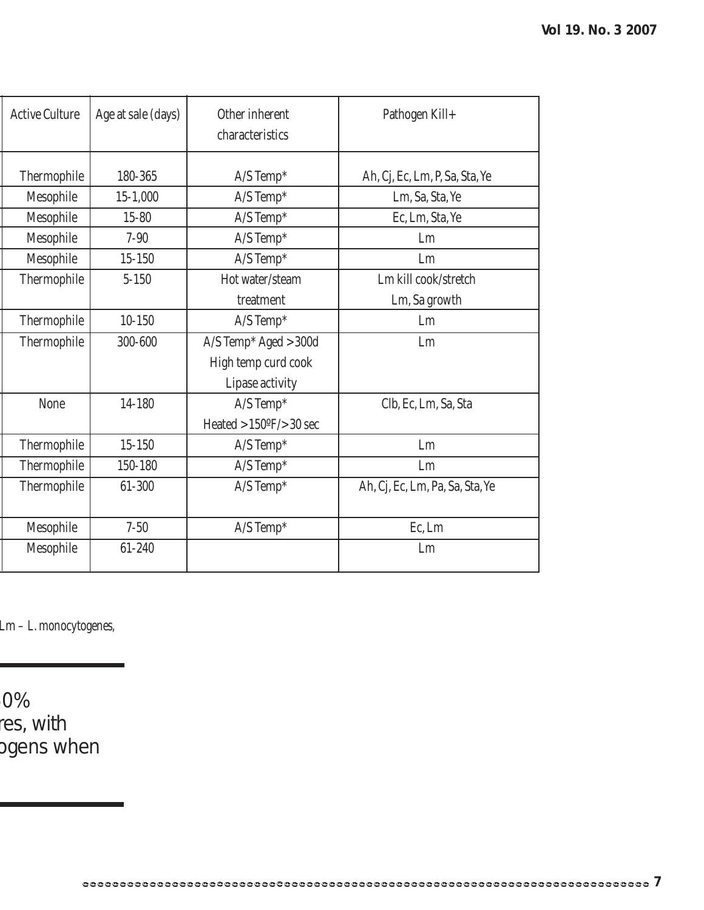| <b>Active Culture</b> | Age at sale (days) | Other inherent<br>characteristics | Pathogen Kill+                  |
|-----------------------|--------------------|-----------------------------------|---------------------------------|
|                       |                    |                                   |                                 |
| Thermophile           | 180-365            | $A/S$ Temp*                       | Ah, Cj, Ec, Lm, P, Sa, Sta, Ye  |
| Mesophile             | $15 - 1,000$       | $A/S$ Temp*                       | Lm, Sa, Sta, Ye                 |
| Mesophile             | $15 - 80$          | $A/S$ Temp*                       | Ec, Lm, Sta, Ye                 |
| Mesophile             | $7 - 90$           | $A/S$ Temp*                       | Lm                              |
| Mesophile             | $15 - 150$         | $A/S$ Temp*                       | Lm                              |
| Thermophile           | $5 - 150$          | Hot water/steam                   | Lm kill cook/stretch            |
|                       |                    | treatment                         | Lm, Sa growth                   |
| Thermophile           | $10 - 150$         | $A/S$ Temp*                       | Lm                              |
| Thermophile           | 300-600            | A/S Temp* Aged > 300d             | Lm                              |
|                       |                    | High temp curd cook               |                                 |
|                       |                    | Lipase activity                   |                                 |
| None                  | 14-180             | $A/S$ Temp*                       | Clb, Ec, Lm, Sa, Sta            |
|                       |                    | Heated $>150$ °F/ $>30$ sec       |                                 |
| Thermophile           | $15 - 150$         | $A/S$ Temp*                       | Lm                              |
| Thermophile           | 150-180            | $A/S$ Temp*                       | Lm                              |
| Thermophile           | 61-300             | $A/S$ Temp*                       | Ah, Cj, Ec, Lm, Pa, Sa, Sta, Ye |
|                       |                    |                                   |                                 |
| Mesophile             | $7 - 50$           | $A/S$ Temp*                       | Ec, Lm                          |
| Mesophile             | 61-240             |                                   | Lm                              |
|                       |                    |                                   |                                 |

Lm – *L. monocytogenes,*

50% res, with ogens when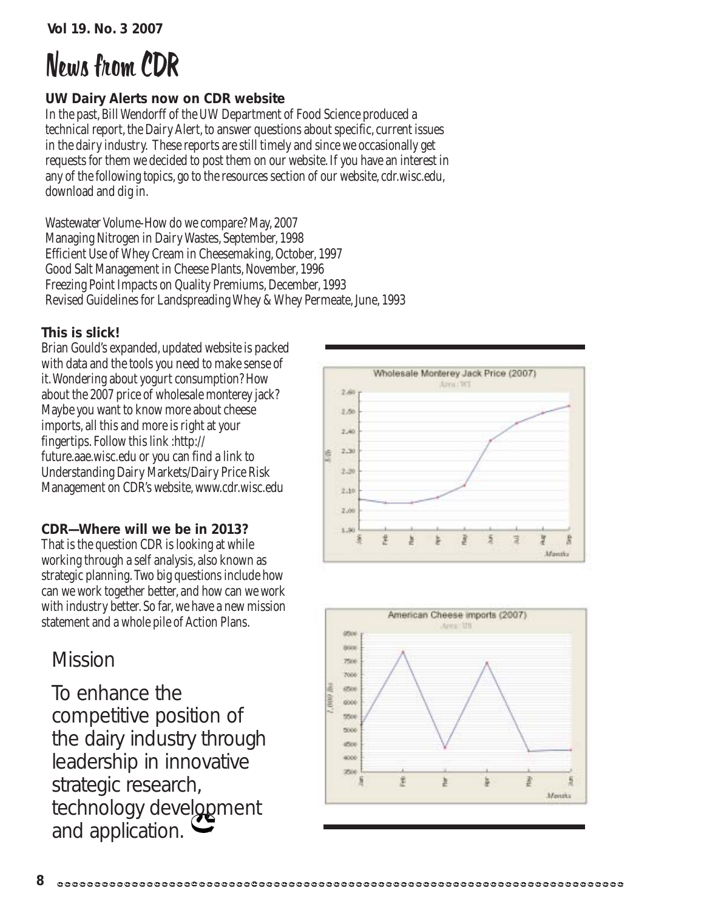# News from CDR

#### **UW Dairy Alerts now on CDR website**

In the past, Bill Wendorff of the UW Department of Food Science produced a technical report, the Dairy Alert, to answer questions about specific, current issues in the dairy industry. These reports are still timely and since we occasionally get requests for them we decided to post them on our website. If you have an interest in any of the following topics, go to the resources section of our website, cdr.wisc.edu, download and dig in.

Wastewater Volume-How do we compare? May, 2007 Managing Nitrogen in Dairy Wastes, September, 1998 Efficient Use of Whey Cream in Cheesemaking, October, 1997 Good Salt Management in Cheese Plants, November, 1996 Freezing Point Impacts on Quality Premiums, December, 1993 Revised Guidelines for Landspreading Whey & Whey Permeate, June, 1993

#### **This is slick!**

Brian Gould's expanded, updated website is packed with data and the tools you need to make sense of it. Wondering about yogurt consumption? How about the 2007 price of wholesale monterey jack? Maybe you want to know more about cheese imports, all this and more is right at your fingertips. Follow this link :http:// future.aae.wisc.edu or you can find a link to Understanding Dairy Markets/Dairy Price Risk Management on CDR's website, www.cdr.wisc.edu

#### **CDR—Where will we be in 2013?**

That is the question CDR is looking at while working through a self analysis, also known as strategic planning. Two big questions include how can we work together better, and how can we work with industry better. So far, we have a new mission statement and a whole pile of Action Plans.

### Mission

To enhance the competitive position of the dairy industry through leadership in innovative strategic research, technology development and application.



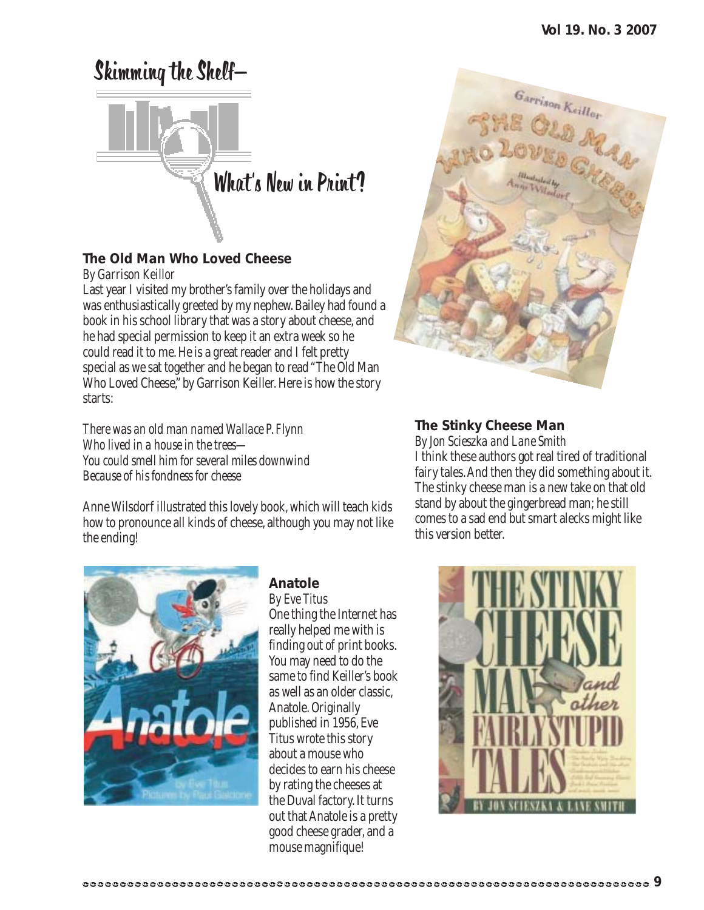# Skimming the Shelf— What's New in Print?

#### **The Old Man Who Loved Cheese**

*By Garrison Keillor*

Last year I visited my brother's family over the holidays and was enthusiastically greeted by my nephew. Bailey had found a book in his school library that was a story about cheese, and he had special permission to keep it an extra week so he could read it to me. He is a great reader and I felt pretty special as we sat together and he began to read "The Old Man Who Loved Cheese," by Garrison Keiller. Here is how the story starts:

*There was an old man named Wallace P. Flynn Who lived in a house in the trees— You could smell him for several miles downwind Because of his fondness for cheese*

Anne Wilsdorf illustrated this lovely book, which will teach kids how to pronounce all kinds of cheese, although you may not like the ending!



#### **Anatole**

*By Eve Titus* One thing the Internet has really helped me with is finding out of print books. You may need to do the same to find Keiller's book as well as an older classic, Anatole. Originally published in 1956, Eve Titus wrote this story about a mouse who decides to earn his cheese by rating the cheeses at the Duval factory. It turns out that Anatole is a pretty good cheese grader, and a mouse magnifique!



#### **The Stinky Cheese Man**

*By Jon Scieszka and Lane Smith* I think these authors got real tired of traditional fairy tales. And then they did something about it. The stinky cheese man is a new take on that old stand by about the gingerbread man; he still comes to a sad end but smart alecks might like this version better.

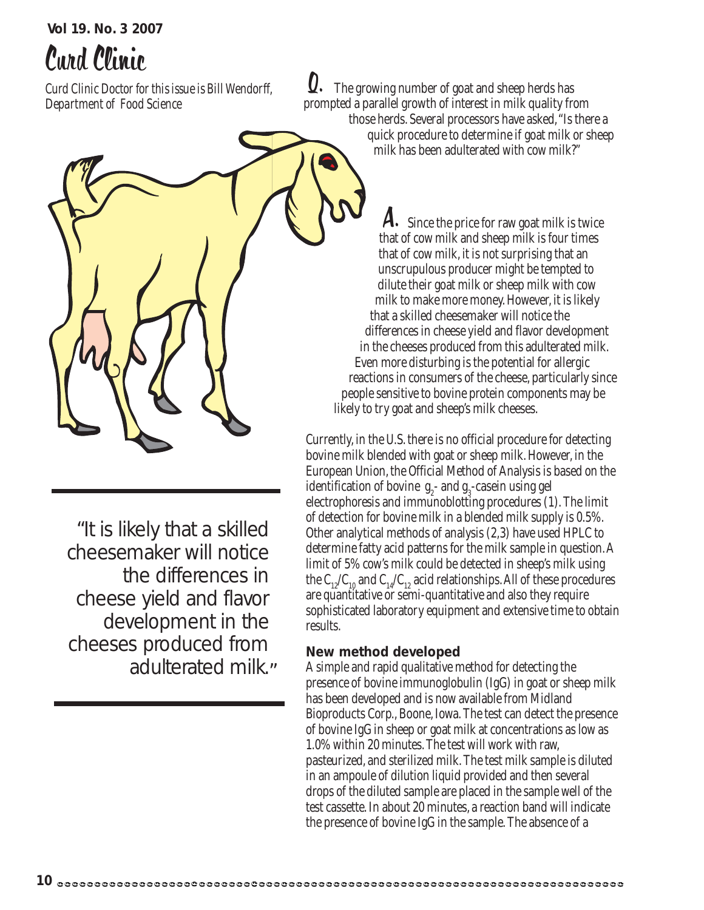# Curd Clinic

*Curd Clinic Doctor for this issue is Bill Wendorff, Department of Food Science*

 The growing number of goat and sheep herds has prompted a parallel growth of interest in milk quality from those herds. Several processors have asked, "Is there a quick procedure to determine if goat milk or sheep milk has been adulterated with cow milk?" Q.

A. Since the price for raw goat milk is twice that of cow milk and sheep milk is four times that of cow milk, it is not surprising that an unscrupulous producer might be tempted to dilute their goat milk or sheep milk with cow milk to make more money. However, it is likely that a skilled cheesemaker will notice the differences in cheese yield and flavor development in the cheeses produced from this adulterated milk. Even more disturbing is the potential for allergic reactions in consumers of the cheese, particularly since people sensitive to bovine protein components may be likely to try goat and sheep's milk cheeses.

Currently, in the U.S. there is no official procedure for detecting bovine milk blended with goat or sheep milk. However, in the European Union, the Official Method of Analysis is based on the identification of bovine  $g_2$ - and  $g_3$ -casein using gel electrophoresis and immunoblotting procedures (1). The limit of detection for bovine milk in a blended milk supply is 0.5%. Other analytical methods of analysis (2,3) have used HPLC to determine fatty acid patterns for the milk sample in question. A limit of 5% cow's milk could be detected in sheep's milk using the  $C_{12}/C_{10}$  and  $C_{14}/C_{12}$  acid relationships. All of these procedures are quantitative or semi-quantitative and also they require sophisticated laboratory equipment and extensive time to obtain results.

#### **New method developed**

A simple and rapid qualitative method for detecting the presence of bovine immunoglobulin (IgG) in goat or sheep milk has been developed and is now available from Midland Bioproducts Corp., Boone, Iowa. The test can detect the presence of bovine IgG in sheep or goat milk at concentrations as low as 1.0% within 20 minutes. The test will work with raw, pasteurized, and sterilized milk. The test milk sample is diluted in an ampoule of dilution liquid provided and then several drops of the diluted sample are placed in the sample well of the test cassette. In about 20 minutes, a reaction band will indicate the presence of bovine IgG in the sample. The absence of a

"It is likely that a skilled cheesemaker will notice the differences in cheese yield and flavor development in the cheeses produced from adulterated milk."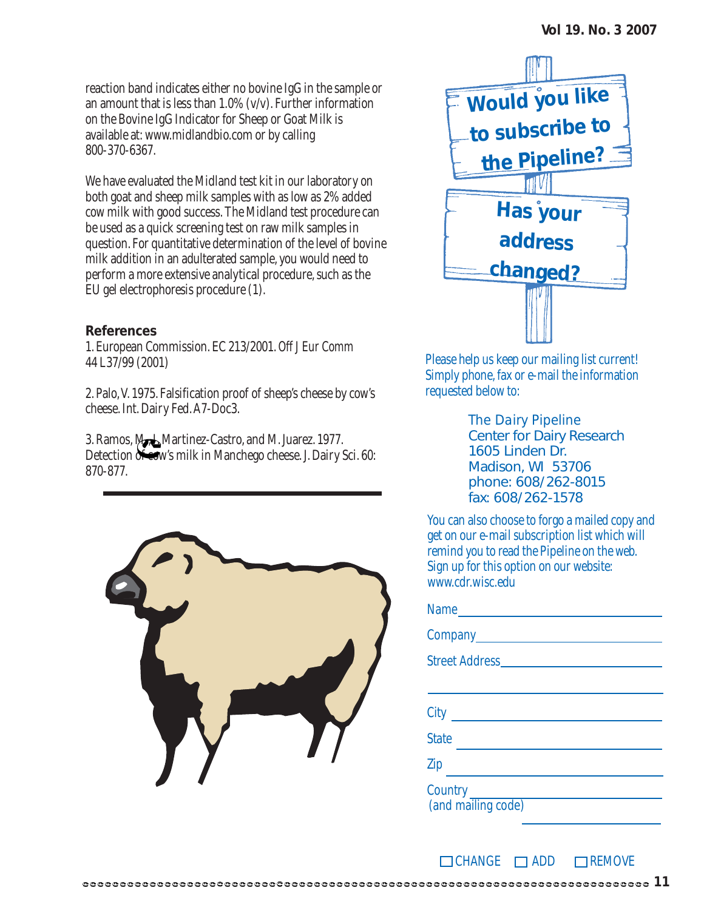reaction band indicates either no bovine IgG in the sample or an amount that is less than  $1.0\%$  (v/v). Further information on the Bovine IgG Indicator for Sheep or Goat Milk is available at: www.midlandbio.com or by calling 800-370-6367.

We have evaluated the Midland test kit in our laboratory on both goat and sheep milk samples with as low as 2% added cow milk with good success. The Midland test procedure can be used as a quick screening test on raw milk samples in question. For quantitative determination of the level of bovine milk addition in an adulterated sample, you would need to perform a more extensive analytical procedure, such as the EU gel electrophoresis procedure (1).

#### **References**

1. European Commission. EC 213/2001. *Off J Eur Comm* 44 L37/99 (2001)

2. Palo, V. 1975. Falsification proof of sheep's cheese by cow's cheese. Int. Dairy Fed. A7-Doc3.

3. Ramos, M., I. Martinez-Castro, and M. Juarez. 1977. Detection of cow's milk in Manchego cheese. J. Dairy Sci. 60: 870-877.





Please help us keep our mailing list current! Simply phone, fax or e-mail the information requested below to:

> *The Dairy Pipeline* Center for Dairy Research 1605 Linden Dr. Madison, WI 53706 phone: 608/262-8015 fax: 608/262-1578

You can also choose to forgo a mailed copy and get on our e-mail subscription list which will remind you to read the Pipeline on the web. Sign up for this option on our website: www.cdr.wisc.edu

| Name               |  |  |  |  |  |
|--------------------|--|--|--|--|--|
|                    |  |  |  |  |  |
|                    |  |  |  |  |  |
|                    |  |  |  |  |  |
| City               |  |  |  |  |  |
| <b>State</b>       |  |  |  |  |  |
| Zip                |  |  |  |  |  |
| (and mailing code) |  |  |  |  |  |

 $\Box$ CHANGE  $\Box$ ADD  $\Box$ REMOVE

**11**